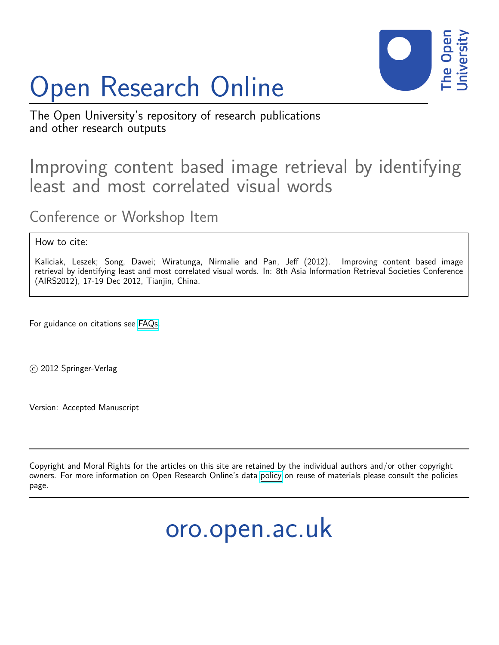

# Open Research Online

The Open University's repository of research publications and other research outputs

# Improving content based image retrieval by identifying least and most correlated visual words

Conference or Workshop Item

How to cite:

Kaliciak, Leszek; Song, Dawei; Wiratunga, Nirmalie and Pan, Jeff (2012). Improving content based image retrieval by identifying least and most correlated visual words. In: 8th Asia Information Retrieval Societies Conference (AIRS2012), 17-19 Dec 2012, Tianjin, China.

For guidance on citations see [FAQs.](http://oro.open.ac.uk/help/helpfaq.html)

c 2012 Springer-Verlag

Version: Accepted Manuscript

Copyright and Moral Rights for the articles on this site are retained by the individual authors and/or other copyright owners. For more information on Open Research Online's data [policy](http://oro.open.ac.uk/policies.html) on reuse of materials please consult the policies page.

oro.open.ac.uk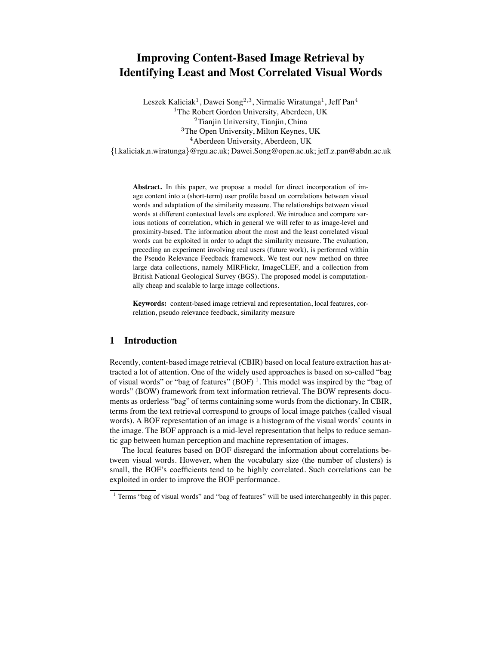# **Improving Content-Based Image Retrieval by Identifying Least and Most Correlated Visual Words**

Leszek Kaliciak<sup>1</sup>, Dawei Song<sup>2,3</sup>, Nirmalie Wiratunga<sup>1</sup>, Jeff Pan<sup>4</sup> <sup>1</sup>The Robert Gordon University, Aberdeen, UK <sup>2</sup>Tianjin University, Tianjin, China <sup>3</sup>The Open University, Milton Keynes, UK <sup>4</sup>Aberdeen University, Aberdeen, UK {l.kaliciak,n.wiratunga}@rgu.ac.uk; Dawei.Song@open.ac.uk; jeff.z.pan@abdn.ac.uk

**Abstract.** In this paper, we propose a model for direct incorporation of image content into a (short-term) user profile based on correlations between visual words and adaptation of the similarity measure. The relationships between visual words at different contextual levels are explored. We introduce and compare various notions of correlation, which in general we will refer to as image-level and proximity-based. The information about the most and the least correlated visual words can be exploited in order to adapt the similarity measure. The evaluation, preceding an experiment involving real users (future work), is performed within the Pseudo Relevance Feedback framework. We test our new method on three large data collections, namely MIRFlickr, ImageCLEF, and a collection from British National Geological Survey (BGS). The proposed model is computationally cheap and scalable to large image collections.

**Keywords:** content-based image retrieval and representation, local features, correlation, pseudo relevance feedback, similarity measure

# **1 Introduction**

Recently, content-based image retrieval (CBIR) based on local feature extraction has attracted a lot of attention. One of the widely used approaches is based on so-called "bag of visual words" or "bag of features" (BOF)<sup>1</sup>. This model was inspired by the "bag of words" (BOW) framework from text information retrieval. The BOW represents documents as orderless "bag" of terms containing some words from the dictionary. In CBIR, terms from the text retrieval correspond to groups of local image patches (called visual words). A BOF representation of an image is a histogram of the visual words' counts in the image. The BOF approach is a mid-level representation that helps to reduce semantic gap between human perception and machine representation of images.

The local features based on BOF disregard the information about correlations between visual words. However, when the vocabulary size (the number of clusters) is small, the BOF's coefficients tend to be highly correlated. Such correlations can be exploited in order to improve the BOF performance.

 $1$  Terms "bag of visual words" and "bag of features" will be used interchangeably in this paper.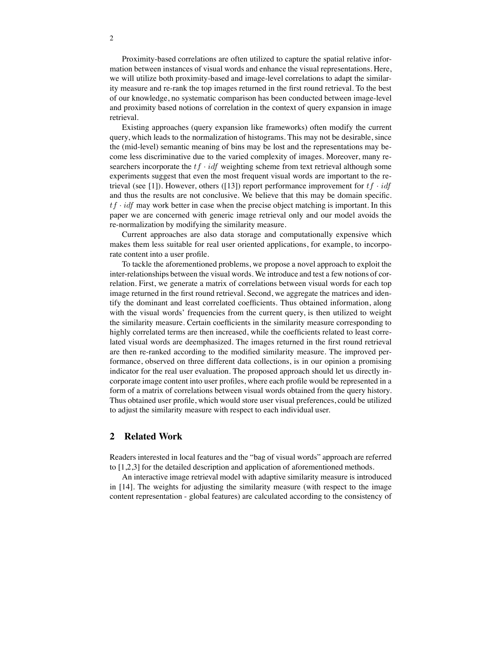Proximity-based correlations are often utilized to capture the spatial relative information between instances of visual words and enhance the visual representations. Here, we will utilize both proximity-based and image-level correlations to adapt the similarity measure and re-rank the top images returned in the first round retrieval. To the best of our knowledge, no systematic comparison has been conducted between image-level and proximity based notions of correlation in the context of query expansion in image retrieval.

Existing approaches (query expansion like frameworks) often modify the current query, which leads to the normalization of histograms. This may not be desirable, since the (mid-level) semantic meaning of bins may be lost and the representations may become less discriminative due to the varied complexity of images. Moreover, many researchers incorporate the  $tf \cdot idf$  weighting scheme from text retrieval although some experiments suggest that even the most frequent visual words are important to the retrieval (see [1]). However, others ([13]) report performance improvement for  $tf \cdot idf$ and thus the results are not conclusive. We believe that this may be domain specific.  $tf \cdot idf$  may work better in case when the precise object matching is important. In this paper we are concerned with generic image retrieval only and our model avoids the re-normalization by modifying the similarity measure.

Current approaches are also data storage and computationally expensive which makes them less suitable for real user oriented applications, for example, to incorporate content into a user profile.

To tackle the aforementioned problems, we propose a novel approach to exploit the inter-relationships between the visual words. We introduce and test a few notions of correlation. First, we generate a matrix of correlations between visual words for each top image returned in the first round retrieval. Second, we aggregate the matrices and identify the dominant and least correlated coefficients. Thus obtained information, along with the visual words' frequencies from the current query, is then utilized to weight the similarity measure. Certain coefficients in the similarity measure corresponding to highly correlated terms are then increased, while the coefficients related to least correlated visual words are deemphasized. The images returned in the first round retrieval are then re-ranked according to the modified similarity measure. The improved performance, observed on three different data collections, is in our opinion a promising indicator for the real user evaluation. The proposed approach should let us directly incorporate image content into user profiles, where each profile would be represented in a form of a matrix of correlations between visual words obtained from the query history. Thus obtained user profile, which would store user visual preferences, could be utilized to adjust the similarity measure with respect to each individual user.

# **2 Related Work**

Readers interested in local features and the "bag of visual words" approach are referred to [1,2,3] for the detailed description and application of aforementioned methods.

An interactive image retrieval model with adaptive similarity measure is introduced in [14]. The weights for adjusting the similarity measure (with respect to the image content representation - global features) are calculated according to the consistency of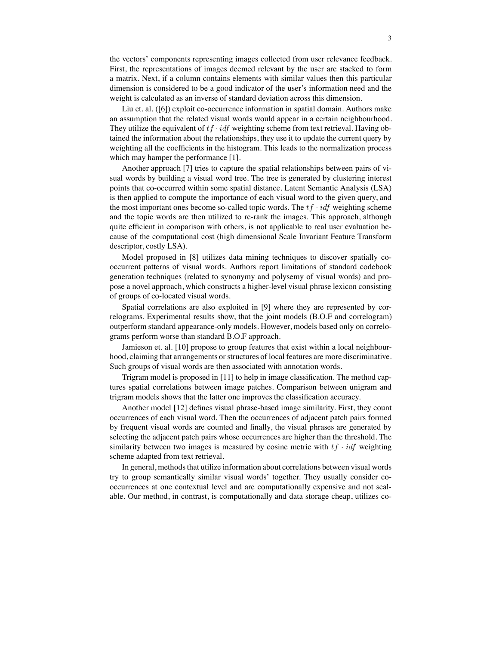the vectors' components representing images collected from user relevance feedback. First, the representations of images deemed relevant by the user are stacked to form a matrix. Next, if a column contains elements with similar values then this particular dimension is considered to be a good indicator of the user's information need and the weight is calculated as an inverse of standard deviation across this dimension.

Liu et. al. ([6]) exploit co-occurrence information in spatial domain. Authors make an assumption that the related visual words would appear in a certain neighbourhood. They utilize the equivalent of  $tf \cdot idf$  weighting scheme from text retrieval. Having obtained the information about the relationships, they use it to update the current query by weighting all the coefficients in the histogram. This leads to the normalization process which may hamper the performance [1].

Another approach [7] tries to capture the spatial relationships between pairs of visual words by building a visual word tree. The tree is generated by clustering interest points that co-occurred within some spatial distance. Latent Semantic Analysis (LSA) is then applied to compute the importance of each visual word to the given query, and the most important ones become so-called topic words. The  $tf \cdot idf$  weighting scheme and the topic words are then utilized to re-rank the images. This approach, although quite efficient in comparison with others, is not applicable to real user evaluation because of the computational cost (high dimensional Scale Invariant Feature Transform descriptor, costly LSA).

Model proposed in [8] utilizes data mining techniques to discover spatially cooccurrent patterns of visual words. Authors report limitations of standard codebook generation techniques (related to synonymy and polysemy of visual words) and propose a novel approach, which constructs a higher-level visual phrase lexicon consisting of groups of co-located visual words.

Spatial correlations are also exploited in [9] where they are represented by correlograms. Experimental results show, that the joint models (B.O.F and correlogram) outperform standard appearance-only models. However, models based only on correlograms perform worse than standard B.O.F approach.

Jamieson et. al. [10] propose to group features that exist within a local neighbourhood, claiming that arrangements or structures of local features are more discriminative. Such groups of visual words are then associated with annotation words.

Trigram model is proposed in [11] to help in image classification. The method captures spatial correlations between image patches. Comparison between unigram and trigram models shows that the latter one improves the classification accuracy.

Another model [12] defines visual phrase-based image similarity. First, they count occurrences of each visual word. Then the occurrences of adjacent patch pairs formed by frequent visual words are counted and finally, the visual phrases are generated by selecting the adjacent patch pairs whose occurrences are higher than the threshold. The similarity between two images is measured by cosine metric with  $tf \cdot idf$  weighting scheme adapted from text retrieval.

In general, methods that utilize information about correlations between visual words try to group semantically similar visual words' together. They usually consider cooccurrences at one contextual level and are computationally expensive and not scalable. Our method, in contrast, is computationally and data storage cheap, utilizes co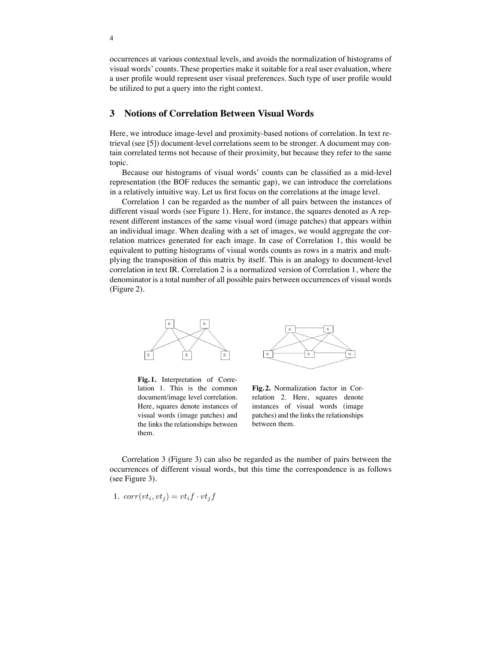occurrences at various contextual levels, and avoids the normalization of histograms of visual words' counts. These properties make it suitable for a real user evaluation, where a user profile would represent user visual preferences. Such type of user profile would be utilized to put a query into the right context.

# **3 Notions of Correlation Between Visual Words**

Here, we introduce image-level and proximity-based notions of correlation. In text retrieval (see [5]) document-level correlations seem to be stronger. A document may contain correlated terms not because of their proximity, but because they refer to the same topic.

Because our histograms of visual words' counts can be classified as a mid-level representation (the BOF reduces the semantic gap), we can introduce the correlations in a relatively intuitive way. Let us first focus on the correlations at the image level.

Correlation 1 can be regarded as the number of all pairs between the instances of different visual words (see Figure 1). Here, for instance, the squares denoted as A represent different instances of the same visual word (image patches) that appears within an individual image. When dealing with a set of images, we would aggregate the correlation matrices generated for each image. In case of Correlation 1, this would be equivalent to putting histograms of visual words counts as rows in a matrix and multplying the transposition of this matrix by itself. This is an analogy to document-level correlation in text IR. Correlation 2 is a normalized version of Correlation 1, where the denominator is a total number of all possible pairs between occurrences of visual words (Figure 2).



**Fig. 1.** Interpretation of Correlation 1. This is the common document/image level correlation. Here, squares denote instances of visual words (image patches) and the links the relationships between them.

**Fig. 2.** Normalization factor in Correlation 2. Here, squares denote instances of visual words (image patches) and the links the relationships between them.

Correlation 3 (Figure 3) can also be regarded as the number of pairs between the occurrences of different visual words, but this time the correspondence is as follows (see Figure 3).

1. 
$$
corr(vt_i, vt_j) = vt_i f \cdot vt_j f
$$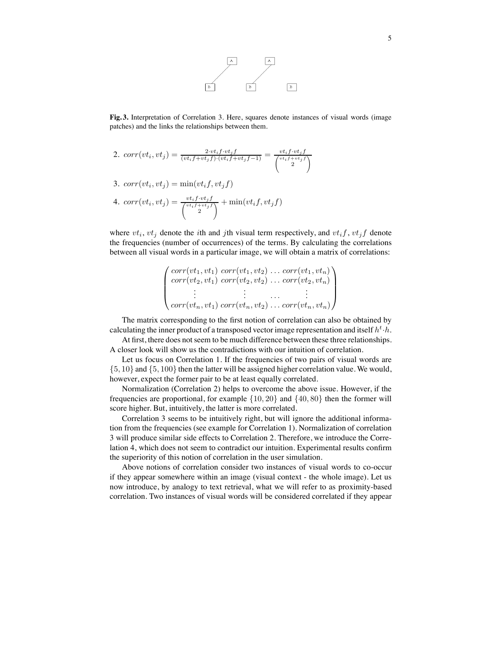

**Fig. 3.** Interpretation of Correlation 3. Here, squares denote instances of visual words (image patches) and the links the relationships between them.

2. 
$$
corr(vt_i, vt_j) = \frac{2 \cdot vt_i f \cdot vt_j f}{(vt_i f + vt_j f) \cdot (vt_i f + vt_j f - 1)} = \frac{vt_i f \cdot vt_j f}{\begin{pmatrix} vt_i f + vt_j f \\ 2 \end{pmatrix}}
$$

3.  $corr(v_t, vt_j) = \min(v_t, vt_j)$ 

4. 
$$
corr(vt_i, vt_j) = \frac{v t_i f \cdot vt_j f}{\binom{vt_i f + vt_j f}{2}} + \min(v t_i f, vt_j f)
$$

where  $vt_i$ ,  $vt_j$  denote the *i*th and *j*th visual term respectively, and  $vt_i f$ ,  $vt_j f$  denote the frequencies (number of occurrences) of the terms. By calculating the correlations between all visual words in a particular image, we will obtain a matrix of correlations:

$$
\begin{pmatrix}\ncorr(vt_1, vt_1) & corr(vt_1, vt_2) & \dots & corr(vt_1, vt_n) \\
corr(vt_2, vt_1) & corr(vt_2, vt_2) & \dots & corr(vt_2, vt_n) \\
\vdots & \vdots & \dots & \vdots \\
corr(vt_n, vt_1) & corr(vt_n, vt_2) & \dots & corr(vt_n, vt_n)\n\end{pmatrix}
$$

The matrix corresponding to the first notion of correlation can also be obtained by calculating the inner product of a transposed vector image representation and itself  $h<sup>t</sup> \cdot h$ .

At first, there does not seem to be much difference between these three relationships. A closer look will show us the contradictions with our intuition of correlation.

Let us focus on Correlation 1. If the frequencies of two pairs of visual words are  $\{5, 10\}$  and  $\{5, 100\}$  then the latter will be assigned higher correlation value. We would, however, expect the former pair to be at least equally correlated.

Normalization (Correlation 2) helps to overcome the above issue. However, if the frequencies are proportional, for example  $\{10, 20\}$  and  $\{40, 80\}$  then the former will score higher. But, intuitively, the latter is more correlated.

Correlation 3 seems to be intuitively right, but will ignore the additional information from the frequencies (see example for Correlation 1). Normalization of correlation 3 will produce similar side effects to Correlation 2. Therefore, we introduce the Correlation 4, which does not seem to contradict our intuition. Experimental results confirm the superiority of this notion of correlation in the user simulation.

Above notions of correlation consider two instances of visual words to co-occur if they appear somewhere within an image (visual context - the whole image). Let us now introduce, by analogy to text retrieval, what we will refer to as proximity-based correlation. Two instances of visual words will be considered correlated if they appear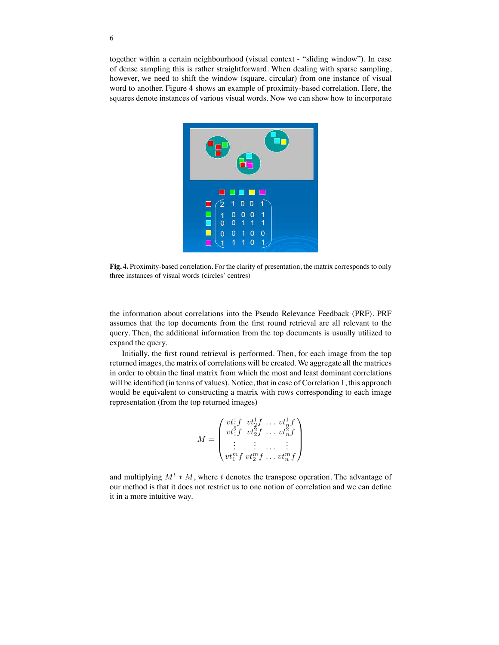together within a certain neighbourhood (visual context - "sliding window"). In case of dense sampling this is rather straightforward. When dealing with sparse sampling, however, we need to shift the window (square, circular) from one instance of visual word to another. Figure 4 shows an example of proximity-based correlation. Here, the squares denote instances of various visual words. Now we can show how to incorporate



**Fig. 4.** Proximity-based correlation. For the clarity of presentation, the matrix corresponds to only three instances of visual words (circles' centres)

the information about correlations into the Pseudo Relevance Feedback (PRF). PRF assumes that the top documents from the first round retrieval are all relevant to the query. Then, the additional information from the top documents is usually utilized to expand the query.

Initially, the first round retrieval is performed. Then, for each image from the top returned images, the matrix of correlations will be created. We aggregate all the matrices in order to obtain the final matrix from which the most and least dominant correlations will be identified (in terms of values). Notice, that in case of Correlation 1, this approach would be equivalent to constructing a matrix with rows corresponding to each image representation (from the top returned images)

$$
M = \begin{pmatrix} vt_1^1f & vt_2^1f & \dots & vt_n^1f \\ vt_1^2f & vt_2^2f & \dots & vt_n^2f \\ \vdots & \vdots & \dots & \vdots \\ vt_1^mf & vt_2^mf & \dots & vt_m^mf \end{pmatrix}
$$

and multiplying  $M^t * M$ , where t denotes the transpose operation. The advantage of our method is that it does not restrict us to one notion of correlation and we can define it in a more intuitive way.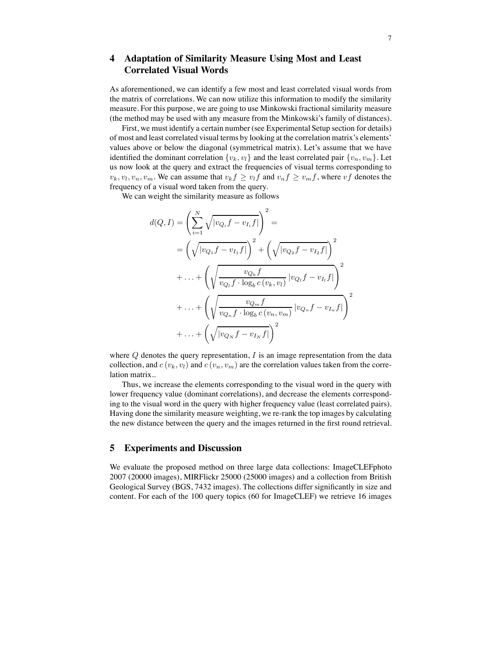# **4 Adaptation of Similarity Measure Using Most and Least Correlated Visual Words**

As aforementioned, we can identify a few most and least correlated visual words from the matrix of correlations. We can now utilize this information to modify the similarity measure. For this purpose, we are going to use Minkowski fractional similarity measure (the method may be used with any measure from the Minkowski's family of distances).

First, we must identify a certain number (see Experimental Setup section for details) of most and least correlated visual terms by looking at the correlation matrix's elements' values above or below the diagonal (symmetrical matrix). Let's assume that we have identified the dominant correlation  $\{v_k, v_l\}$  and the least correlated pair  $\{v_n, v_m\}$ . Let us now look at the query and extract the frequencies of visual terms corresponding to  $v_k, v_l, v_n, v_m$ . We can assume that  $v_k f \geq v_l f$  and  $v_n f \geq v_m f$ , where  $v f$  denotes the frequency of a visual word taken from the query.

We can weight the similarity measure as follows

$$
d(Q, I) = \left(\sum_{i=1}^{N} \sqrt{|v_{Q_i}f - v_{I_i}f|}\right)^2 =
$$
  
=  $\left(\sqrt{|v_{Q_1}f - v_{I_1}f|}\right)^2 + \left(\sqrt{|v_{Q_2}f - v_{I_2}f|}\right)^2$   
+  $\dots + \left(\sqrt{\frac{v_{Q_k}f}{v_{Q_l}f \cdot \log_b c(v_k, v_l)} |v_{Q_l}f - v_{I_l}f|\right)^2}$   
+  $\dots + \left(\sqrt{\frac{v_{Q_m}f}{v_{Q_n}f \cdot \log_b c(v_n, v_m)} |v_{Q_n}f - v_{I_n}f|\right)^2}$   
+  $\dots + \left(\sqrt{|v_{Q_N}f - v_{I_N}f|}\right)^2$ 

where  $Q$  denotes the query representation,  $I$  is an image representation from the data collection, and  $c(v_k, v_l)$  and  $c(v_n, v_m)$  are the correlation values taken from the correlation matrix..

Thus, we increase the elements corresponding to the visual word in the query with lower frequency value (dominant correlations), and decrease the elements corresponding to the visual word in the query with higher frequency value (least correlated pairs). Having done the similarity measure weighting, we re-rank the top images by calculating the new distance between the query and the images returned in the first round retrieval.

# **5 Experiments and Discussion**

We evaluate the proposed method on three large data collections: ImageCLEFphoto 2007 (20000 images), MIRFlickr 25000 (25000 images) and a collection from British Geological Survey (BGS, 7432 images). The collections differ significantly in size and content. For each of the 100 query topics (60 for ImageCLEF) we retrieve 16 images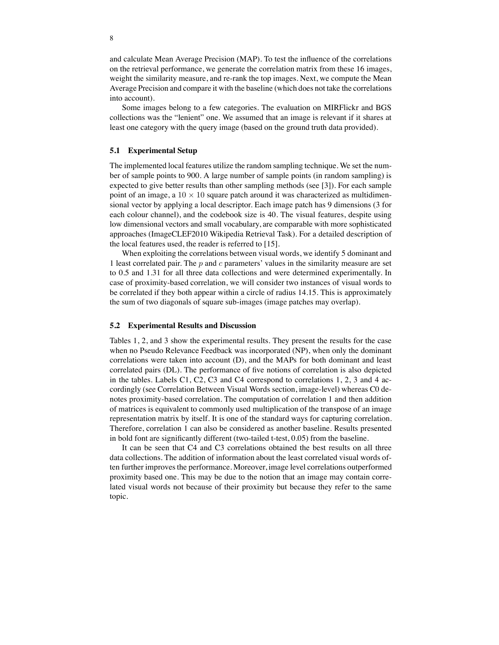and calculate Mean Average Precision (MAP). To test the influence of the correlations on the retrieval performance, we generate the correlation matrix from these 16 images, weight the similarity measure, and re-rank the top images. Next, we compute the Mean Average Precision and compare it with the baseline (which does not take the correlations into account).

Some images belong to a few categories. The evaluation on MIRFlickr and BGS collections was the "lenient" one. We assumed that an image is relevant if it shares at least one category with the query image (based on the ground truth data provided).

#### **5.1 Experimental Setup**

The implemented local features utilize the random sampling technique. We set the number of sample points to 900. A large number of sample points (in random sampling) is expected to give better results than other sampling methods (see [3]). For each sample point of an image, a  $10 \times 10$  square patch around it was characterized as multidimensional vector by applying a local descriptor. Each image patch has 9 dimensions (3 for each colour channel), and the codebook size is 40. The visual features, despite using low dimensional vectors and small vocabulary, are comparable with more sophisticated approaches (ImageCLEF2010 Wikipedia Retrieval Task). For a detailed description of the local features used, the reader is referred to [15].

When exploiting the correlations between visual words, we identify 5 dominant and 1 least correlated pair. The  $p$  and  $c$  parameters' values in the similarity measure are set to 0.5 and 1.31 for all three data collections and were determined experimentally. In case of proximity-based correlation, we will consider two instances of visual words to be correlated if they both appear within a circle of radius 14.15. This is approximately the sum of two diagonals of square sub-images (image patches may overlap).

#### **5.2 Experimental Results and Discussion**

Tables 1, 2, and 3 show the experimental results. They present the results for the case when no Pseudo Relevance Feedback was incorporated (NP), when only the dominant correlations were taken into account (D), and the MAPs for both dominant and least correlated pairs (DL). The performance of five notions of correlation is also depicted in the tables. Labels C1, C2, C3 and C4 correspond to correlations 1, 2, 3 and 4 accordingly (see Correlation Between Visual Words section, image-level) whereas C0 denotes proximity-based correlation. The computation of correlation 1 and then addition of matrices is equivalent to commonly used multiplication of the transpose of an image representation matrix by itself. It is one of the standard ways for capturing correlation. Therefore, correlation 1 can also be considered as another baseline. Results presented in bold font are significantly different (two-tailed t-test, 0.05) from the baseline.

It can be seen that C4 and C3 correlations obtained the best results on all three data collections. The addition of information about the least correlated visual words often further improves the performance. Moreover, image level correlations outperformed proximity based one. This may be due to the notion that an image may contain correlated visual words not because of their proximity but because they refer to the same topic.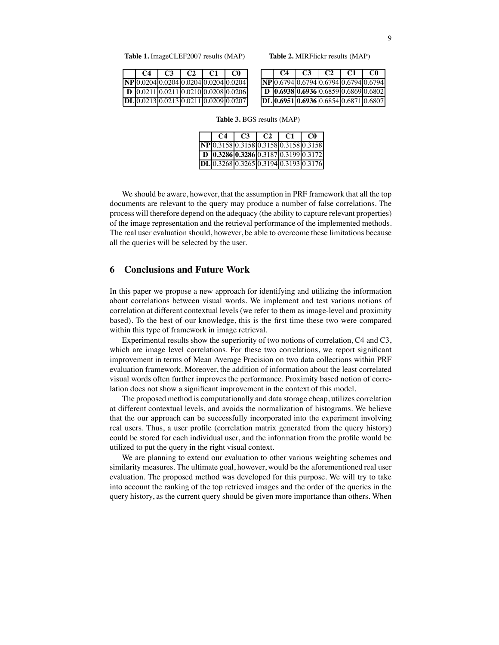**Table 1.** ImageCLEF2007 results (MAP)

|  | $C_{4}$ | C <sub>3</sub> | $C2 \perp C1$                          | -C0 |  | $C_4$                              | C <sub>3</sub> |
|--|---------|----------------|----------------------------------------|-----|--|------------------------------------|----------------|
|  |         |                | NP 0.0204 0.0204 0.0204 0.0204 0.0204  |     |  | $\overline{\text{NP}$ 0.6794 0.679 |                |
|  |         |                | $D$ 0.0211 0.0211 0.0210 0.0208 0.0206 |     |  | D 0.6938 0.693                     |                |
|  |         |                | DL 0.0213 0.0213 0.0211 0.0209 0.0207  |     |  | DL 0.6951 0.693                    |                |

**Table 2.** MIRFlickr results (MAP)

|  | C <sub>4</sub> | -C3 | C <sub>2</sub>                        | C1 | - CO |
|--|----------------|-----|---------------------------------------|----|------|
|  |                |     | NP 0.6794 0.6794 0.6794 0.6794 0.6794 |    |      |
|  |                |     | D 0.6938 0.6936 0.6859 0.6869 0.6802  |    |      |
|  |                |     | DL 0.6951 0.6936 0.6854 0.6871 0.6807 |    |      |

**Table 3.** BGS results (MAP)

| C <sub>4</sub> | C <sub>3</sub> | C <sub>2</sub> | C1 | C0                                     |
|----------------|----------------|----------------|----|----------------------------------------|
|                |                |                |    | NP 0.3158 0.3158 0.3158 0.3158 0.3158  |
|                |                |                |    | $D$ 0.3286 0.3286 0.3187 0.3199 0.3172 |
|                |                |                |    | DL 0.3268 0.3265 0.3194 0.3193 0.3176  |

We should be aware, however, that the assumption in PRF framework that all the top documents are relevant to the query may produce a number of false correlations. The process will therefore depend on the adequacy (the ability to capture relevant properties) of the image representation and the retrieval performance of the implemented methods. The real user evaluation should, however, be able to overcome these limitations because all the queries will be selected by the user.

## **6 Conclusions and Future Work**

In this paper we propose a new approach for identifying and utilizing the information about correlations between visual words. We implement and test various notions of correlation at different contextual levels (we refer to them as image-level and proximity based). To the best of our knowledge, this is the first time these two were compared within this type of framework in image retrieval.

Experimental results show the superiority of two notions of correlation, C4 and C3, which are image level correlations. For these two correlations, we report significant improvement in terms of Mean Average Precision on two data collections within PRF evaluation framework. Moreover, the addition of information about the least correlated visual words often further improves the performance. Proximity based notion of correlation does not show a significant improvement in the context of this model.

The proposed method is computationally and data storage cheap, utilizes correlation at different contextual levels, and avoids the normalization of histograms. We believe that the our approach can be successfully incorporated into the experiment involving real users. Thus, a user profile (correlation matrix generated from the query history) could be stored for each individual user, and the information from the profile would be utilized to put the query in the right visual context.

We are planning to extend our evaluation to other various weighting schemes and similarity measures. The ultimate goal, however, would be the aforementioned real user evaluation. The proposed method was developed for this purpose. We will try to take into account the ranking of the top retrieved images and the order of the queries in the query history, as the current query should be given more importance than others. When